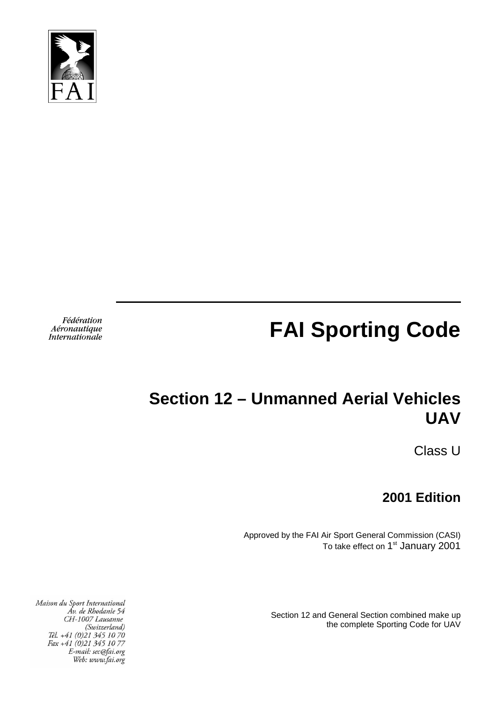

# **FAI Sporting Code**

Fédération Aéronautique **Internationale** 

# **Section 12 – Unmanned Aerial Vehicles UAV**

Class U

**2001 Edition** 

Approved by the FAI Air Sport General Commission (CASI) To take effect on 1<sup>st</sup> January 2001

> Section 12 and General Section combined make up the complete Sporting Code for UAV

Maison du Sport International Av. de Rhodanie 54 CH-1007 Lausanne (Switzerland)<br>(Switzerland)<br>Tél. +41 (0)21 345 10 70<br>Fax +41 (0)21 345 10 77 E-mail: sec@fai.org Web: www.fai.org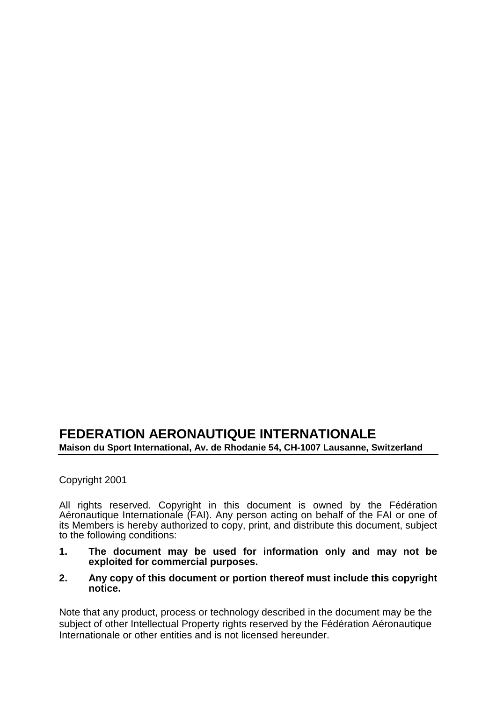#### **FEDERATION AERONAUTIQUE INTERNATIONALE Maison du Sport International, Av. de Rhodanie 54, CH-1007 Lausanne, Switzerland**

Copyright 2001

All rights reserved. Copyright in this document is owned by the Fédération Aéronautique Internationale (FAI). Any person acting on behalf of the FAI or one of its Members is hereby authorized to copy, print, and distribute this document, subject to the following conditions:

- **1. The document may be used for information only and may not be exploited for commercial purposes.**
- **2. Any copy of this document or portion thereof must include this copyright notice.**

Note that any product, process or technology described in the document may be the subject of other Intellectual Property rights reserved by the Fédération Aéronautique Internationale or other entities and is not licensed hereunder.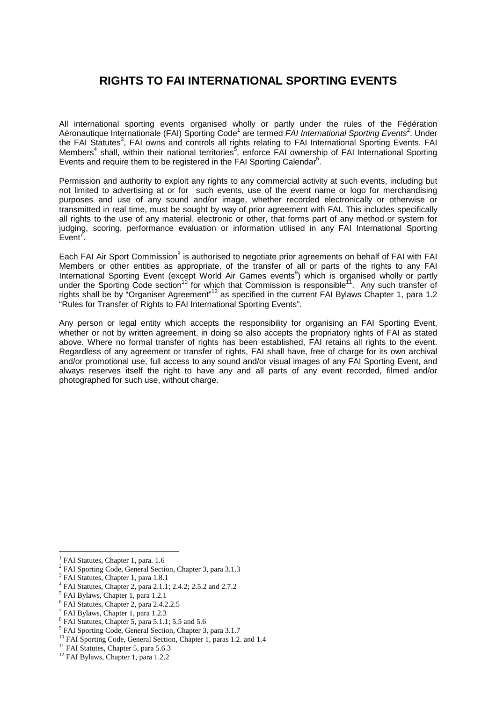#### **RIGHTS TO FAI INTERNATIONAL SPORTING EVENTS**

All international sporting events organised wholly or partly under the rules of the Fédération Aéronautique Internationale (FAI) Sporting Code<sup>1</sup> are termed FAI International Sporting Events<sup>2</sup>. Under the FAI Statutes<sup>3</sup>, FAI owns and controls all rights relating to FAI International Sporting Events. FAI Members<sup>4</sup> shall, within their national territories<sup>5</sup>, enforce FAI ownership of FAI International Sporting Events and require them to be registered in the FAI Sporting Calendar $6$ .

Permission and authority to exploit any rights to any commercial activity at such events, including but not limited to advertising at or for such events, use of the event name or logo for merchandising purposes and use of any sound and/or image, whether recorded electronically or otherwise or transmitted in real time, must be sought by way of prior agreement with FAI. This includes specifically all rights to the use of any material, electronic or other, that forms part of any method or system for judging, scoring, performance evaluation or information utilised in any FAI International Sporting  $Event^7$ .

Each FAI Air Sport Commission<sup>8</sup> is authorised to negotiate prior agreements on behalf of FAI with FAI Members or other entities as appropriate, of the transfer of all or parts of the rights to any FAI International Sporting Event (except World Air Games events<sup>9</sup>) which is organised wholly or partly under the Sporting Code section<sup>10</sup> for which that Commission is responsible<sup>11</sup>. Any such transfer of rights shall be by "Organiser Agreement"<sup>12</sup> as specified in the current FAI Bylaws Chapter 1, para 1.2 "Rules for Transfer of Rights to FAI International Sporting Events".

Any person or legal entity which accepts the responsibility for organising an FAI Sporting Event, whether or not by written agreement, in doing so also accepts the propriatory rights of FAI as stated above. Where no formal transfer of rights has been established, FAI retains all rights to the event. Regardless of any agreement or transfer of rights, FAI shall have, free of charge for its own archival and/or promotional use, full access to any sound and/or visual images of any FAI Sporting Event, and always reserves itself the right to have any and all parts of any event recorded, filmed and/or photographed for such use, without charge.

 $\overline{a}$ 1 FAI Statutes, Chapter 1, para. 1.6

<sup>&</sup>lt;sup>2</sup> FAI Sporting Code, General Section, Chapter 3, para 3.1.3

<sup>&</sup>lt;sup>3</sup> FAI Statutes, Chapter 1, para 1.8.1

<sup>4</sup> FAI Statutes, Chapter 2, para 2.1.1; 2.4.2; 2.5.2 and 2.7.2

<sup>5</sup> FAI Bylaws, Chapter 1, para 1.2.1

<sup>6</sup> FAI Statutes, Chapter 2, para 2.4.2.2.5

<sup>&</sup>lt;sup>7</sup> FAI Bylaws, Chapter 1, para 1.2.3

<sup>&</sup>lt;sup>8</sup> FAI Statutes, Chapter 5, para 5.1.1; 5.5 and 5.6

<sup>&</sup>lt;sup>9</sup> FAI Sporting Code, General Section, Chapter 3, para 3.1.7

<sup>&</sup>lt;sup>10</sup> FAI Sporting Code, General Section, Chapter 1, paras 1.2. and 1.4

<sup>&</sup>lt;sup>11</sup> FAI Statutes, Chapter 5, para 5.6.3

 $12$  FAI Bylaws, Chapter 1, para 1.2.2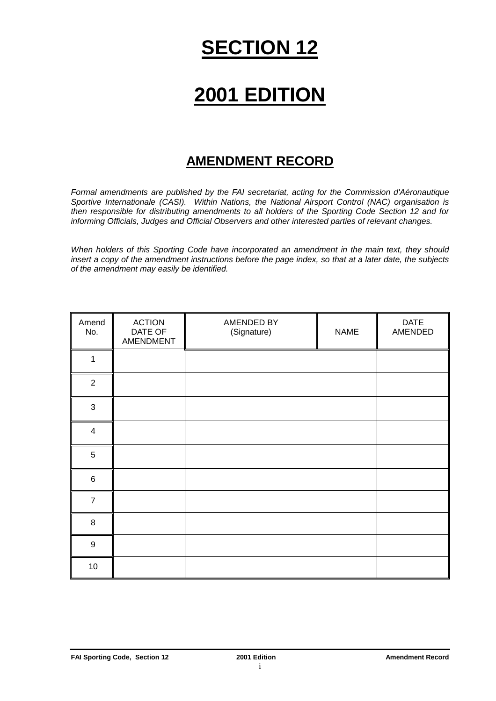# **SECTION 12**

# **2001 EDITION**

#### **AMENDMENT RECORD**

Formal amendments are published by the FAI secretariat, acting for the Commission d'Aéronautique Sportive Internationale (CASI). Within Nations, the National Airsport Control (NAC) organisation is then responsible for distributing amendments to all holders of the Sporting Code Section 12 and for informing Officials, Judges and Official Observers and other interested parties of relevant changes.

When holders of this Sporting Code have incorporated an amendment in the main text, they should insert a copy of the amendment instructions before the page index, so that at a later date, the subjects of the amendment may easily be identified.

| Amend<br>No.            | <b>ACTION</b><br>DATE OF<br>AMENDMENT | AMENDED BY<br>(Signature) | <b>NAME</b> | <b>DATE</b><br>AMENDED |
|-------------------------|---------------------------------------|---------------------------|-------------|------------------------|
| 1                       |                                       |                           |             |                        |
| $\overline{2}$          |                                       |                           |             |                        |
| $\mathfrak{S}$          |                                       |                           |             |                        |
| $\overline{\mathbf{4}}$ |                                       |                           |             |                        |
| 5                       |                                       |                           |             |                        |
| $\,6$                   |                                       |                           |             |                        |
| $\overline{7}$          |                                       |                           |             |                        |
| 8                       |                                       |                           |             |                        |
| $\boldsymbol{9}$        |                                       |                           |             |                        |
| 10                      |                                       |                           |             |                        |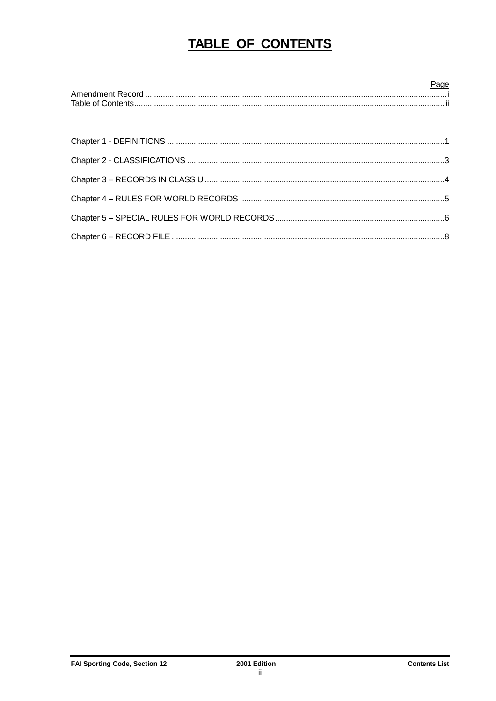# **TABLE OF CONTENTS**

| Page |
|------|
|      |
|      |
|      |
|      |
|      |
|      |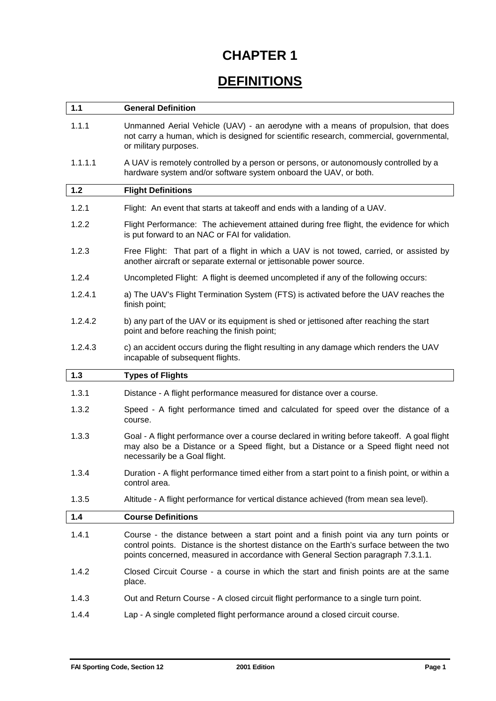# **DEFINITIONS**

| $1.1$   | <b>General Definition</b>                                                                                                                                                                                                                                             |
|---------|-----------------------------------------------------------------------------------------------------------------------------------------------------------------------------------------------------------------------------------------------------------------------|
| 1.1.1   | Unmanned Aerial Vehicle (UAV) - an aerodyne with a means of propulsion, that does<br>not carry a human, which is designed for scientific research, commercial, governmental,<br>or military purposes.                                                                 |
| 1.1.1.1 | A UAV is remotely controlled by a person or persons, or autonomously controlled by a<br>hardware system and/or software system onboard the UAV, or both.                                                                                                              |
| $1.2$   | <b>Flight Definitions</b>                                                                                                                                                                                                                                             |
| 1.2.1   | Flight: An event that starts at takeoff and ends with a landing of a UAV.                                                                                                                                                                                             |
| 1.2.2   | Flight Performance: The achievement attained during free flight, the evidence for which<br>is put forward to an NAC or FAI for validation.                                                                                                                            |
| 1.2.3   | Free Flight: That part of a flight in which a UAV is not towed, carried, or assisted by<br>another aircraft or separate external or jettisonable power source.                                                                                                        |
| 1.2.4   | Uncompleted Flight: A flight is deemed uncompleted if any of the following occurs:                                                                                                                                                                                    |
| 1.2.4.1 | a) The UAV's Flight Termination System (FTS) is activated before the UAV reaches the<br>finish point;                                                                                                                                                                 |
| 1.2.4.2 | b) any part of the UAV or its equipment is shed or jettisoned after reaching the start<br>point and before reaching the finish point;                                                                                                                                 |
| 1.2.4.3 | c) an accident occurs during the flight resulting in any damage which renders the UAV<br>incapable of subsequent flights.                                                                                                                                             |
|         |                                                                                                                                                                                                                                                                       |
| $1.3$   | <b>Types of Flights</b>                                                                                                                                                                                                                                               |
| 1.3.1   | Distance - A flight performance measured for distance over a course.                                                                                                                                                                                                  |
| 1.3.2   | Speed - A fight performance timed and calculated for speed over the distance of a<br>course.                                                                                                                                                                          |
| 1.3.3   | Goal - A flight performance over a course declared in writing before takeoff. A goal flight<br>may also be a Distance or a Speed flight, but a Distance or a Speed flight need not<br>necessarily be a Goal flight.                                                   |
| 1.3.4   | Duration - A flight performance timed either from a start point to a finish point, or within a<br>control area.                                                                                                                                                       |
| 1.3.5   | Altitude - A flight performance for vertical distance achieved (from mean sea level).                                                                                                                                                                                 |
| 1.4     | <b>Course Definitions</b>                                                                                                                                                                                                                                             |
| 1.4.1   | Course - the distance between a start point and a finish point via any turn points or<br>control points. Distance is the shortest distance on the Earth's surface between the two<br>points concerned, measured in accordance with General Section paragraph 7.3.1.1. |
| 1.4.2   | Closed Circuit Course - a course in which the start and finish points are at the same<br>place.                                                                                                                                                                       |
| 1.4.3   | Out and Return Course - A closed circuit flight performance to a single turn point.                                                                                                                                                                                   |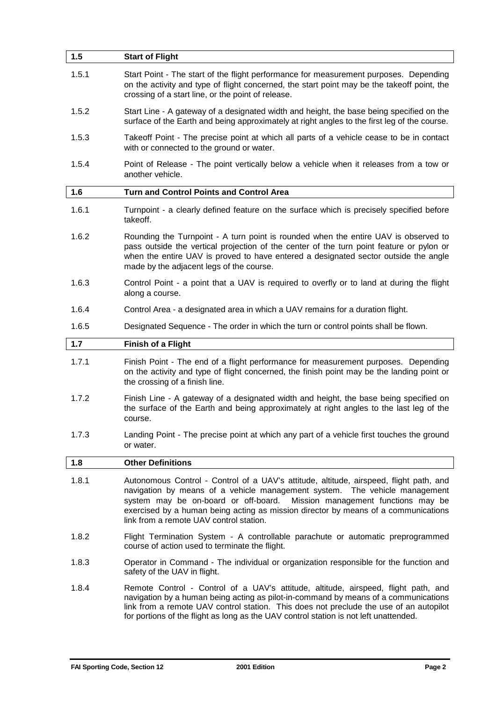| 1.5   | <b>Start of Flight</b>                                                                                                                                                                                                                                                                                                                                                            |
|-------|-----------------------------------------------------------------------------------------------------------------------------------------------------------------------------------------------------------------------------------------------------------------------------------------------------------------------------------------------------------------------------------|
| 1.5.1 | Start Point - The start of the flight performance for measurement purposes. Depending<br>on the activity and type of flight concerned, the start point may be the takeoff point, the<br>crossing of a start line, or the point of release.                                                                                                                                        |
| 1.5.2 | Start Line - A gateway of a designated width and height, the base being specified on the<br>surface of the Earth and being approximately at right angles to the first leg of the course.                                                                                                                                                                                          |
| 1.5.3 | Takeoff Point - The precise point at which all parts of a vehicle cease to be in contact<br>with or connected to the ground or water.                                                                                                                                                                                                                                             |
| 1.5.4 | Point of Release - The point vertically below a vehicle when it releases from a tow or<br>another vehicle.                                                                                                                                                                                                                                                                        |
| 1.6   | <b>Turn and Control Points and Control Area</b>                                                                                                                                                                                                                                                                                                                                   |
| 1.6.1 | Turnpoint - a clearly defined feature on the surface which is precisely specified before<br>takeoff.                                                                                                                                                                                                                                                                              |
| 1.6.2 | Rounding the Turnpoint - A turn point is rounded when the entire UAV is observed to<br>pass outside the vertical projection of the center of the turn point feature or pylon or<br>when the entire UAV is proved to have entered a designated sector outside the angle<br>made by the adjacent legs of the course.                                                                |
| 1.6.3 | Control Point - a point that a UAV is required to overfly or to land at during the flight<br>along a course.                                                                                                                                                                                                                                                                      |
| 1.6.4 | Control Area - a designated area in which a UAV remains for a duration flight.                                                                                                                                                                                                                                                                                                    |
| 1.6.5 | Designated Sequence - The order in which the turn or control points shall be flown.                                                                                                                                                                                                                                                                                               |
| 1.7   | <b>Finish of a Flight</b>                                                                                                                                                                                                                                                                                                                                                         |
|       |                                                                                                                                                                                                                                                                                                                                                                                   |
| 1.7.1 | Finish Point - The end of a flight performance for measurement purposes. Depending<br>on the activity and type of flight concerned, the finish point may be the landing point or<br>the crossing of a finish line.                                                                                                                                                                |
| 1.7.2 | Finish Line - A gateway of a designated width and height, the base being specified on<br>the surface of the Earth and being approximately at right angles to the last leg of the<br>course.                                                                                                                                                                                       |
| 1.7.3 | Landing Point - The precise point at which any part of a vehicle first touches the ground<br>or water.                                                                                                                                                                                                                                                                            |
| 1.8   | <b>Other Definitions</b>                                                                                                                                                                                                                                                                                                                                                          |
| 1.8.1 | Autonomous Control - Control of a UAV's attitude, altitude, airspeed, flight path, and<br>navigation by means of a vehicle management system. The vehicle management<br>system may be on-board or off-board. Mission management functions may be<br>exercised by a human being acting as mission director by means of a communications<br>link from a remote UAV control station. |
| 1.8.2 | Flight Termination System - A controllable parachute or automatic preprogrammed<br>course of action used to terminate the flight.                                                                                                                                                                                                                                                 |
| 1.8.3 | Operator in Command - The individual or organization responsible for the function and<br>safety of the UAV in flight.                                                                                                                                                                                                                                                             |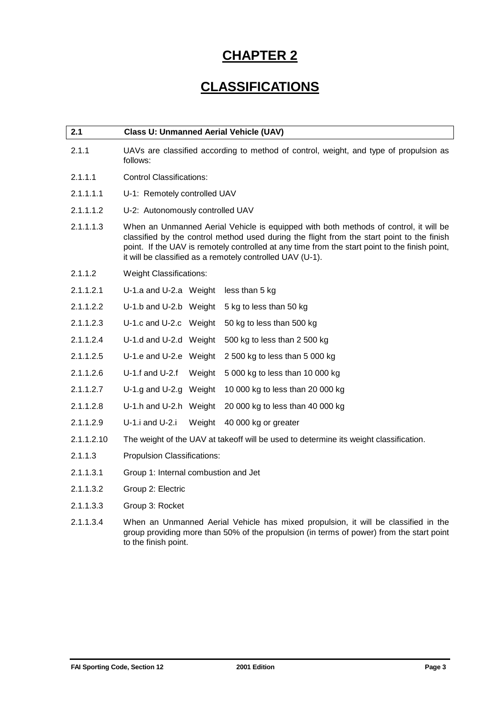## **CLASSIFICATIONS**

| 2.1        | <b>Class U: Unmanned Aerial Vehicle (UAV)</b>                                                                                                                                                                                                                                                                                                     |  |
|------------|---------------------------------------------------------------------------------------------------------------------------------------------------------------------------------------------------------------------------------------------------------------------------------------------------------------------------------------------------|--|
| 2.1.1      | UAVs are classified according to method of control, weight, and type of propulsion as<br>follows:                                                                                                                                                                                                                                                 |  |
| 2.1.1.1    | <b>Control Classifications:</b>                                                                                                                                                                                                                                                                                                                   |  |
| 2.1.1.1.1  | U-1: Remotely controlled UAV                                                                                                                                                                                                                                                                                                                      |  |
| 2.1.1.1.2  | U-2: Autonomously controlled UAV                                                                                                                                                                                                                                                                                                                  |  |
| 2.1.1.1.3  | When an Unmanned Aerial Vehicle is equipped with both methods of control, it will be<br>classified by the control method used during the flight from the start point to the finish<br>point. If the UAV is remotely controlled at any time from the start point to the finish point,<br>it will be classified as a remotely controlled UAV (U-1). |  |
| 2.1.1.2    | <b>Weight Classifications:</b>                                                                                                                                                                                                                                                                                                                    |  |
| 2.1.1.2.1  | U-1.a and U-2.a Weight<br>less than 5 kg                                                                                                                                                                                                                                                                                                          |  |
| 2.1.1.2.2  | U-1.b and U-2.b Weight<br>5 kg to less than 50 kg                                                                                                                                                                                                                                                                                                 |  |
| 2.1.1.2.3  | U-1.c and U-2.c Weight<br>50 kg to less than 500 kg                                                                                                                                                                                                                                                                                               |  |
| 2.1.1.2.4  | U-1.d and U-2.d Weight<br>500 kg to less than 2 500 kg                                                                                                                                                                                                                                                                                            |  |
| 2.1.1.2.5  | U-1.e and U-2.e Weight<br>2 500 kg to less than 5 000 kg                                                                                                                                                                                                                                                                                          |  |
| 2.1.1.2.6  | $U-1.f$ and $U-2.f$<br>Weight<br>5 000 kg to less than 10 000 kg                                                                                                                                                                                                                                                                                  |  |
| 2.1.1.2.7  | U-1.g and U-2.g Weight<br>10 000 kg to less than 20 000 kg                                                                                                                                                                                                                                                                                        |  |
| 2.1.1.2.8  | U-1.h and U-2.h Weight<br>20 000 kg to less than 40 000 kg                                                                                                                                                                                                                                                                                        |  |
| 2.1.1.2.9  | U-1.i and U-2.i<br>Weight<br>40 000 kg or greater                                                                                                                                                                                                                                                                                                 |  |
| 2.1.1.2.10 | The weight of the UAV at takeoff will be used to determine its weight classification.                                                                                                                                                                                                                                                             |  |
| 2.1.1.3    | Propulsion Classifications:                                                                                                                                                                                                                                                                                                                       |  |
| 2.1.1.3.1  | Group 1: Internal combustion and Jet                                                                                                                                                                                                                                                                                                              |  |
| 2.1.1.3.2  | Group 2: Electric                                                                                                                                                                                                                                                                                                                                 |  |
| 2.1.1.3.3  | Group 3: Rocket                                                                                                                                                                                                                                                                                                                                   |  |
| 2.1.1.3.4  | When an Unmanned Aerial Vehicle has mixed propulsion, it will be classified in the<br>group providing more than 50% of the propulsion (in terms of power) from the start point                                                                                                                                                                    |  |

to the finish point.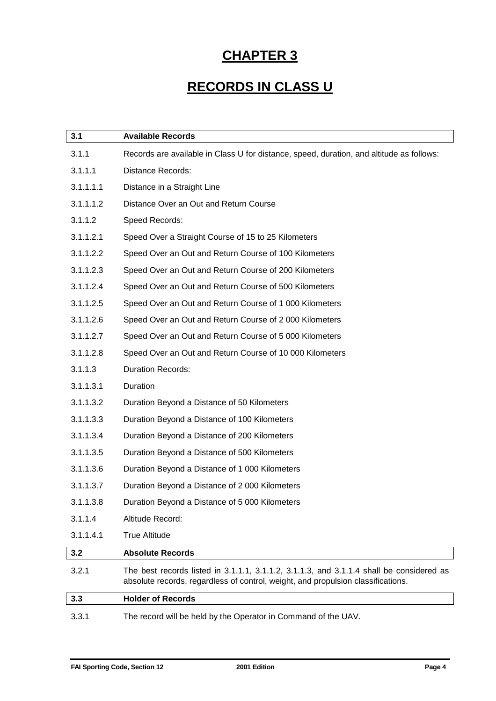## **RECORDS IN CLASS U**

| 3.1       | <b>Available Records</b>                                                                                                                                                     |
|-----------|------------------------------------------------------------------------------------------------------------------------------------------------------------------------------|
| 3.1.1     | Records are available in Class U for distance, speed, duration, and altitude as follows:                                                                                     |
| 3.1.1.1   | <b>Distance Records:</b>                                                                                                                                                     |
| 3.1.1.1.1 | Distance in a Straight Line                                                                                                                                                  |
| 3.1.1.1.2 | Distance Over an Out and Return Course                                                                                                                                       |
| 3.1.1.2   | Speed Records:                                                                                                                                                               |
| 3.1.1.2.1 | Speed Over a Straight Course of 15 to 25 Kilometers                                                                                                                          |
| 3.1.1.2.2 | Speed Over an Out and Return Course of 100 Kilometers                                                                                                                        |
| 3.1.1.2.3 | Speed Over an Out and Return Course of 200 Kilometers                                                                                                                        |
| 3.1.1.2.4 | Speed Over an Out and Return Course of 500 Kilometers                                                                                                                        |
| 3.1.1.2.5 | Speed Over an Out and Return Course of 1 000 Kilometers                                                                                                                      |
| 3.1.1.2.6 | Speed Over an Out and Return Course of 2000 Kilometers                                                                                                                       |
| 3.1.1.2.7 | Speed Over an Out and Return Course of 5 000 Kilometers                                                                                                                      |
| 3.1.1.2.8 | Speed Over an Out and Return Course of 10 000 Kilometers                                                                                                                     |
| 3.1.1.3   | <b>Duration Records:</b>                                                                                                                                                     |
| 3.1.1.3.1 | Duration                                                                                                                                                                     |
| 3.1.1.3.2 | Duration Beyond a Distance of 50 Kilometers                                                                                                                                  |
| 3.1.1.3.3 | Duration Beyond a Distance of 100 Kilometers                                                                                                                                 |
| 3.1.1.3.4 | Duration Beyond a Distance of 200 Kilometers                                                                                                                                 |
| 3.1.1.3.5 | Duration Beyond a Distance of 500 Kilometers                                                                                                                                 |
| 3.1.1.3.6 | Duration Beyond a Distance of 1 000 Kilometers                                                                                                                               |
| 3.1.1.3.7 | Duration Beyond a Distance of 2000 Kilometers                                                                                                                                |
| 3.1.1.3.8 | Duration Beyond a Distance of 5 000 Kilometers                                                                                                                               |
| 3.1.1.4   | Altitude Record:                                                                                                                                                             |
| 3.1.1.4.1 | <b>True Altitude</b>                                                                                                                                                         |
| 3.2       | <b>Absolute Records</b>                                                                                                                                                      |
| 3.2.1     | The best records listed in 3.1.1.1, 3.1.1.2, 3.1.1.3, and 3.1.1.4 shall be considered as<br>absolute records, regardless of control, weight, and propulsion classifications. |
| 3.3       | <b>Holder of Records</b>                                                                                                                                                     |
| 3.3.1     | The record will be held by the Operator in Command of the UAV.                                                                                                               |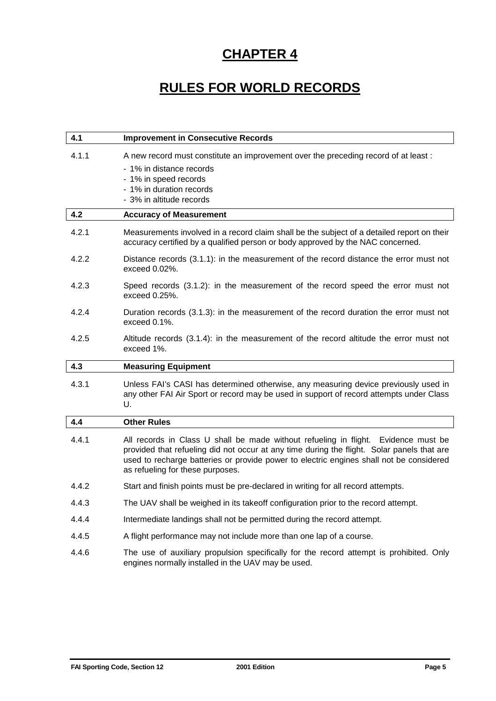## **RULES FOR WORLD RECORDS**

| 4.1   | <b>Improvement in Consecutive Records</b>                                                                                                                                                                                                                                                                       |
|-------|-----------------------------------------------------------------------------------------------------------------------------------------------------------------------------------------------------------------------------------------------------------------------------------------------------------------|
| 4.1.1 | A new record must constitute an improvement over the preceding record of at least :<br>- 1% in distance records<br>- 1% in speed records<br>- 1% in duration records<br>- 3% in altitude records                                                                                                                |
| 4.2   | <b>Accuracy of Measurement</b>                                                                                                                                                                                                                                                                                  |
| 4.2.1 | Measurements involved in a record claim shall be the subject of a detailed report on their<br>accuracy certified by a qualified person or body approved by the NAC concerned.                                                                                                                                   |
| 4.2.2 | Distance records (3.1.1): in the measurement of the record distance the error must not<br>exceed 0.02%.                                                                                                                                                                                                         |
| 4.2.3 | Speed records (3.1.2): in the measurement of the record speed the error must not<br>exceed $0.25%$ .                                                                                                                                                                                                            |
| 4.2.4 | Duration records (3.1.3): in the measurement of the record duration the error must not<br>exceed 0.1%.                                                                                                                                                                                                          |
| 4.2.5 | Altitude records (3.1.4): in the measurement of the record altitude the error must not<br>exceed 1%.                                                                                                                                                                                                            |
|       |                                                                                                                                                                                                                                                                                                                 |
| 4.3   | <b>Measuring Equipment</b>                                                                                                                                                                                                                                                                                      |
| 4.3.1 | Unless FAI's CASI has determined otherwise, any measuring device previously used in<br>any other FAI Air Sport or record may be used in support of record attempts under Class<br>U.                                                                                                                            |
| 4.4   | <b>Other Rules</b>                                                                                                                                                                                                                                                                                              |
| 4.4.1 | All records in Class U shall be made without refueling in flight. Evidence must be<br>provided that refueling did not occur at any time during the flight. Solar panels that are<br>used to recharge batteries or provide power to electric engines shall not be considered<br>as refueling for these purposes. |
| 4.4.2 | Start and finish points must be pre-declared in writing for all record attempts.                                                                                                                                                                                                                                |
| 4.4.3 | The UAV shall be weighed in its takeoff configuration prior to the record attempt.                                                                                                                                                                                                                              |
| 4.4.4 | Intermediate landings shall not be permitted during the record attempt.                                                                                                                                                                                                                                         |
| 4.4.5 | A flight performance may not include more than one lap of a course.                                                                                                                                                                                                                                             |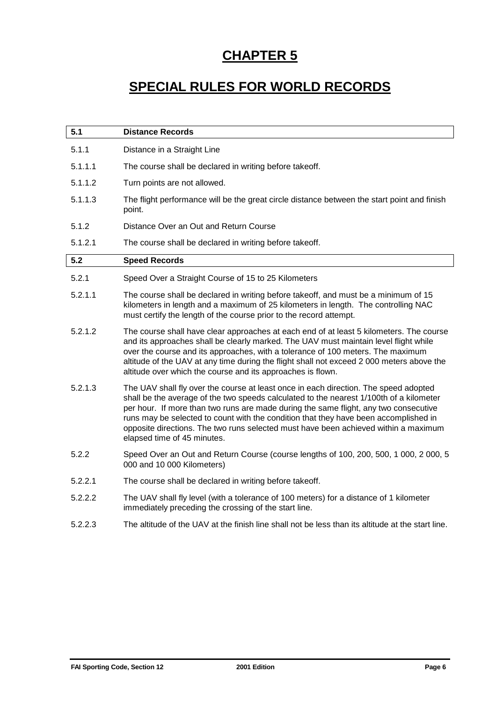## **SPECIAL RULES FOR WORLD RECORDS**

| 5.1     | <b>Distance Records</b>                                                                                                                                                                                                                                                                                                                                                                                                                                                               |
|---------|---------------------------------------------------------------------------------------------------------------------------------------------------------------------------------------------------------------------------------------------------------------------------------------------------------------------------------------------------------------------------------------------------------------------------------------------------------------------------------------|
| 5.1.1   | Distance in a Straight Line                                                                                                                                                                                                                                                                                                                                                                                                                                                           |
| 5.1.1.1 | The course shall be declared in writing before takeoff.                                                                                                                                                                                                                                                                                                                                                                                                                               |
| 5.1.1.2 | Turn points are not allowed.                                                                                                                                                                                                                                                                                                                                                                                                                                                          |
| 5.1.1.3 | The flight performance will be the great circle distance between the start point and finish<br>point.                                                                                                                                                                                                                                                                                                                                                                                 |
| 5.1.2   | Distance Over an Out and Return Course                                                                                                                                                                                                                                                                                                                                                                                                                                                |
| 5.1.2.1 | The course shall be declared in writing before takeoff.                                                                                                                                                                                                                                                                                                                                                                                                                               |
| 5.2     | <b>Speed Records</b>                                                                                                                                                                                                                                                                                                                                                                                                                                                                  |
| 5.2.1   | Speed Over a Straight Course of 15 to 25 Kilometers                                                                                                                                                                                                                                                                                                                                                                                                                                   |
| 5.2.1.1 | The course shall be declared in writing before takeoff, and must be a minimum of 15<br>kilometers in length and a maximum of 25 kilometers in length. The controlling NAC<br>must certify the length of the course prior to the record attempt.                                                                                                                                                                                                                                       |
| 5.2.1.2 | The course shall have clear approaches at each end of at least 5 kilometers. The course<br>and its approaches shall be clearly marked. The UAV must maintain level flight while<br>over the course and its approaches, with a tolerance of 100 meters. The maximum<br>altitude of the UAV at any time during the flight shall not exceed 2 000 meters above the<br>altitude over which the course and its approaches is flown.                                                        |
| 5.2.1.3 | The UAV shall fly over the course at least once in each direction. The speed adopted<br>shall be the average of the two speeds calculated to the nearest 1/100th of a kilometer<br>per hour. If more than two runs are made during the same flight, any two consecutive<br>runs may be selected to count with the condition that they have been accomplished in<br>opposite directions. The two runs selected must have been achieved within a maximum<br>elapsed time of 45 minutes. |
| 5.2.2   | Speed Over an Out and Return Course (course lengths of 100, 200, 500, 1 000, 2 000, 5<br>000 and 10 000 Kilometers)                                                                                                                                                                                                                                                                                                                                                                   |
| 5.2.2.1 | The course shall be declared in writing before takeoff.                                                                                                                                                                                                                                                                                                                                                                                                                               |
| 5.2.2.2 | The UAV shall fly level (with a tolerance of 100 meters) for a distance of 1 kilometer<br>immediately preceding the crossing of the start line.                                                                                                                                                                                                                                                                                                                                       |
| 5.2.2.3 | The altitude of the UAV at the finish line shall not be less than its altitude at the start line.                                                                                                                                                                                                                                                                                                                                                                                     |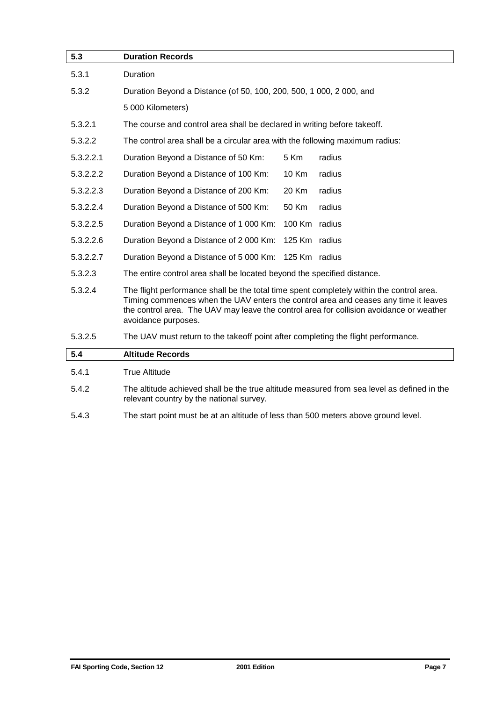| 5.3       | <b>Duration Records</b>                                                                                                                                                                                                                                                                           |
|-----------|---------------------------------------------------------------------------------------------------------------------------------------------------------------------------------------------------------------------------------------------------------------------------------------------------|
| 5.3.1     | Duration                                                                                                                                                                                                                                                                                          |
| 5.3.2     | Duration Beyond a Distance (of 50, 100, 200, 500, 1 000, 2 000, and                                                                                                                                                                                                                               |
|           | 5 000 Kilometers)                                                                                                                                                                                                                                                                                 |
| 5.3.2.1   | The course and control area shall be declared in writing before takeoff.                                                                                                                                                                                                                          |
| 5.3.2.2   | The control area shall be a circular area with the following maximum radius:                                                                                                                                                                                                                      |
| 5.3.2.2.1 | 5 Km<br>radius<br>Duration Beyond a Distance of 50 Km:                                                                                                                                                                                                                                            |
| 5.3.2.2.2 | radius<br>Duration Beyond a Distance of 100 Km:<br>10 Km                                                                                                                                                                                                                                          |
| 5.3.2.2.3 | 20 Km<br>radius<br>Duration Beyond a Distance of 200 Km:                                                                                                                                                                                                                                          |
| 5.3.2.2.4 | Duration Beyond a Distance of 500 Km:<br>50 Km<br>radius                                                                                                                                                                                                                                          |
| 5.3.2.2.5 | 100 Km radius<br>Duration Beyond a Distance of 1 000 Km:                                                                                                                                                                                                                                          |
| 5.3.2.2.6 | Duration Beyond a Distance of 2 000 Km:<br>125 Km radius                                                                                                                                                                                                                                          |
| 5.3.2.2.7 | 125 Km radius<br>Duration Beyond a Distance of 5 000 Km:                                                                                                                                                                                                                                          |
| 5.3.2.3   | The entire control area shall be located beyond the specified distance.                                                                                                                                                                                                                           |
| 5.3.2.4   | The flight performance shall be the total time spent completely within the control area.<br>Timing commences when the UAV enters the control area and ceases any time it leaves<br>the control area. The UAV may leave the control area for collision avoidance or weather<br>avoidance purposes. |
| 5.3.2.5   | The UAV must return to the takeoff point after completing the flight performance.                                                                                                                                                                                                                 |
| 5.4       | <b>Altitude Records</b>                                                                                                                                                                                                                                                                           |
| 5.4.1     | <b>True Altitude</b>                                                                                                                                                                                                                                                                              |
| 5.4.2     | The altitude achieved shall be the true altitude measured from sea level as defined in the<br>relevant country by the national survey.                                                                                                                                                            |
| 5.4.3     | The start point must be at an altitude of less than 500 meters above ground level.                                                                                                                                                                                                                |